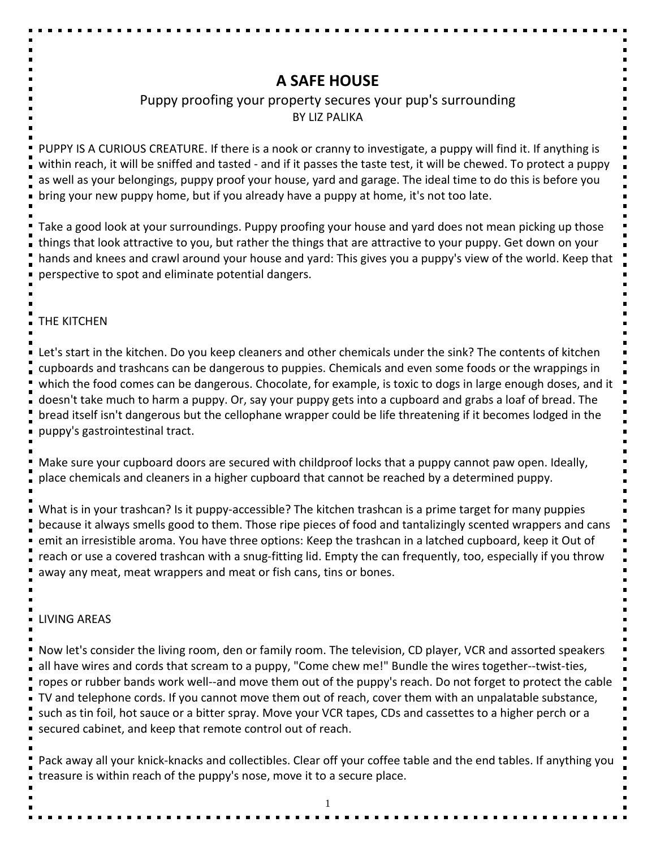# **A SAFE HOUSE**

# Puppy proofing your property secures your pup's surrounding BY LIZ PALIKA

PUPPY IS A CURIOUS CREATURE. If there is a nook or cranny to investigate, a puppy will find it. If anything is within reach, it will be sniffed and tasted - and if it passes the taste test, it will be chewed. To protect a puppy as well as your belongings, puppy proof your house, yard and garage. The ideal time to do this is before you bring your new puppy home, but if you already have a puppy at home, it's not too late.

Take a good look at your surroundings. Puppy proofing your house and yard does not mean picking up those things that look attractive to you, but rather the things that are attractive to your puppy. Get down on your hands and knees and crawl around your house and yard: This gives you a puppy's view of the world. Keep that perspective to spot and eliminate potential dangers.

#### THE KITCHEN

Let's start in the kitchen. Do you keep cleaners and other chemicals under the sink? The contents of kitchen cupboards and trashcans can be dangerous to puppies. Chemicals and even some foods or the wrappings in which the food comes can be dangerous. Chocolate, for example, is toxic to dogs in large enough doses, and it doesn't take much to harm a puppy. Or, say your puppy gets into a cupboard and grabs a loaf of bread. The bread itself isn't dangerous but the cellophane wrapper could be life threatening if it becomes lodged in the puppy's gastrointestinal tract.

Make sure your cupboard doors are secured with childproof locks that a puppy cannot paw open. Ideally, place chemicals and cleaners in a higher cupboard that cannot be reached by a determined puppy.

What is in your trashcan? Is it puppy-accessible? The kitchen trashcan is a prime target for many puppies because it always smells good to them. Those ripe pieces of food and tantalizingly scented wrappers and cans emit an irresistible aroma. You have three options: Keep the trashcan in a latched cupboard, keep it Out of reach or use a covered trashcan with a snug-fitting lid. Empty the can frequently, too, especially if you throw away any meat, meat wrappers and meat or fish cans, tins or bones.

#### LIVING AREAS

Now let's consider the living room, den or family room. The television, CD player, VCR and assorted speakers all have wires and cords that scream to a puppy, "Come chew me!" Bundle the wires together--twist-ties, ropes or rubber bands work well--and move them out of the puppy's reach. Do not forget to protect the cable TV and telephone cords. If you cannot move them out of reach, cover them with an unpalatable substance, such as tin foil, hot sauce or a bitter spray. Move your VCR tapes, CDs and cassettes to a higher perch or a secured cabinet, and keep that remote control out of reach.

Pack away all your knick-knacks and collectibles. Clear off your coffee table and the end tables. If anything you treasure is within reach of the puppy's nose, move it to a secure place.

1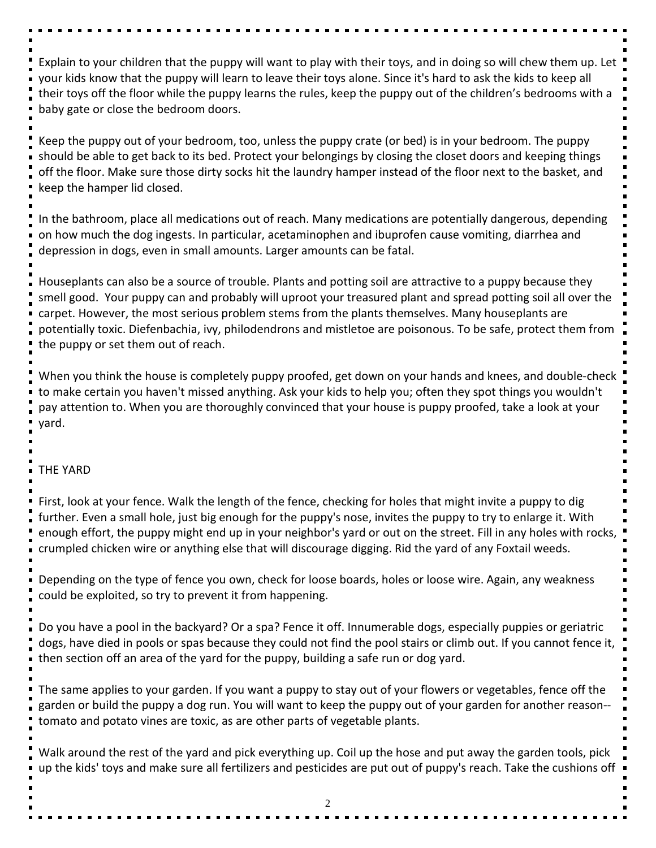Explain to your children that the puppy will want to play with their toys, and in doing so will chew them up. Let your kids know that the puppy will learn to leave their toys alone. Since it's hard to ask the kids to keep all their toys off the floor while the puppy learns the rules, keep the puppy out of the children's bedrooms with a baby gate or close the bedroom doors.

Keep the puppy out of your bedroom, too, unless the puppy crate (or bed) is in your bedroom. The puppy should be able to get back to its bed. Protect your belongings by closing the closet doors and keeping things off the floor. Make sure those dirty socks hit the laundry hamper instead of the floor next to the basket, and keep the hamper lid closed.

In the bathroom, place all medications out of reach. Many medications are potentially dangerous, depending on how much the dog ingests. In particular, acetaminophen and ibuprofen cause vomiting, diarrhea and depression in dogs, even in small amounts. Larger amounts can be fatal.

Houseplants can also be a source of trouble. Plants and potting soil are attractive to a puppy because they smell good. Your puppy can and probably will uproot your treasured plant and spread potting soil all over the carpet. However, the most serious problem stems from the plants themselves. Many houseplants are potentially toxic. Diefenbachia, ivy, philodendrons and mistletoe are poisonous. To be safe, protect them from the puppy or set them out of reach.

When you think the house is completely puppy proofed, get down on your hands and knees, and double-check to make certain you haven't missed anything. Ask your kids to help you; often they spot things you wouldn't pay attention to. When you are thoroughly convinced that your house is puppy proofed, take a look at your yard.

# THE YARD

First, look at your fence. Walk the length of the fence, checking for holes that might invite a puppy to dig further. Even a small hole, just big enough for the puppy's nose, invites the puppy to try to enlarge it. With enough effort, the puppy might end up in your neighbor's yard or out on the street. Fill in any holes with rocks, crumpled chicken wire or anything else that will discourage digging. Rid the yard of any Foxtail weeds.

Depending on the type of fence you own, check for loose boards, holes or loose wire. Again, any weakness could be exploited, so try to prevent it from happening.

Do you have a pool in the backyard? Or a spa? Fence it off. Innumerable dogs, especially puppies or geriatric dogs, have died in pools or spas because they could not find the pool stairs or climb out. If you cannot fence it, then section off an area of the yard for the puppy, building a safe run or dog yard.

The same applies to your garden. If you want a puppy to stay out of your flowers or vegetables, fence off the garden or build the puppy a dog run. You will want to keep the puppy out of your garden for another reason- tomato and potato vines are toxic, as are other parts of vegetable plants.

Walk around the rest of the yard and pick everything up. Coil up the hose and put away the garden tools, pick up the kids' toys and make sure all fertilizers and pesticides are put out of puppy's reach. Take the cushions off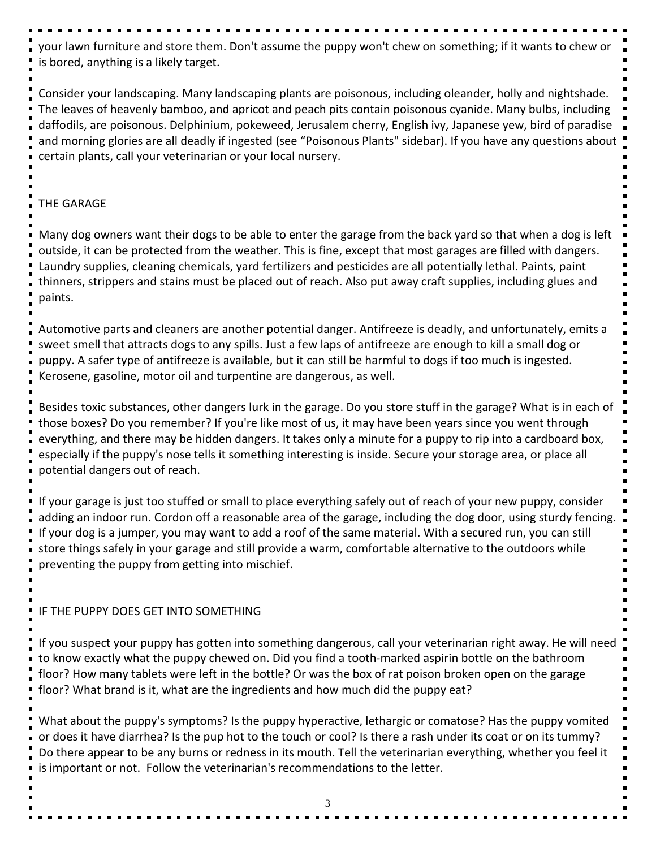your lawn furniture and store them. Don't assume the puppy won't chew on something; if it wants to chew or is bored, anything is a likely target.

Consider your landscaping. Many landscaping plants are poisonous, including oleander, holly and nightshade. The leaves of heavenly bamboo, and apricot and peach pits contain poisonous cyanide. Many bulbs, including daffodils, are poisonous. Delphinium, pokeweed, Jerusalem cherry, English ivy, Japanese yew, bird of paradise and morning glories are all deadly if ingested (see "Poisonous Plants" sidebar). If you have any questions about certain plants, call your veterinarian or your local nursery.

### THE GARAGE

Many dog owners want their dogs to be able to enter the garage from the back yard so that when a dog is left outside, it can be protected from the weather. This is fine, except that most garages are filled with dangers. Laundry supplies, cleaning chemicals, yard fertilizers and pesticides are all potentially lethal. Paints, paint thinners, strippers and stains must be placed out of reach. Also put away craft supplies, including glues and paints.

Automotive parts and cleaners are another potential danger. Antifreeze is deadly, and unfortunately, emits a sweet smell that attracts dogs to any spills. Just a few laps of antifreeze are enough to kill a small dog or puppy. A safer type of antifreeze is available, but it can still be harmful to dogs if too much is ingested. Kerosene, gasoline, motor oil and turpentine are dangerous, as well.

Besides toxic substances, other dangers lurk in the garage. Do you store stuff in the garage? What is in each of those boxes? Do you remember? If you're like most of us, it may have been years since you went through everything, and there may be hidden dangers. It takes only a minute for a puppy to rip into a cardboard box, especially if the puppy's nose tells it something interesting is inside. Secure your storage area, or place all potential dangers out of reach.

If your garage is just too stuffed or small to place everything safely out of reach of your new puppy, consider adding an indoor run. Cordon off a reasonable area of the garage, including the dog door, using sturdy fencing. If your dog is a jumper, you may want to add a roof of the same material. With a secured run, you can still store things safely in your garage and still provide a warm, comfortable alternative to the outdoors while preventing the puppy from getting into mischief.

# IF THE PUPPY DOES GET INTO SOMETHING

If you suspect your puppy has gotten into something dangerous, call your veterinarian right away. He will need to know exactly what the puppy chewed on. Did you find a tooth-marked aspirin bottle on the bathroom floor? How many tablets were left in the bottle? Or was the box of rat poison broken open on the garage floor? What brand is it, what are the ingredients and how much did the puppy eat?

What about the puppy's symptoms? Is the puppy hyperactive, lethargic or comatose? Has the puppy vomited or does it have diarrhea? Is the pup hot to the touch or cool? Is there a rash under its coat or on its tummy? Do there appear to be any burns or redness in its mouth. Tell the veterinarian everything, whether you feel it is important or not. Follow the veterinarian's recommendations to the letter.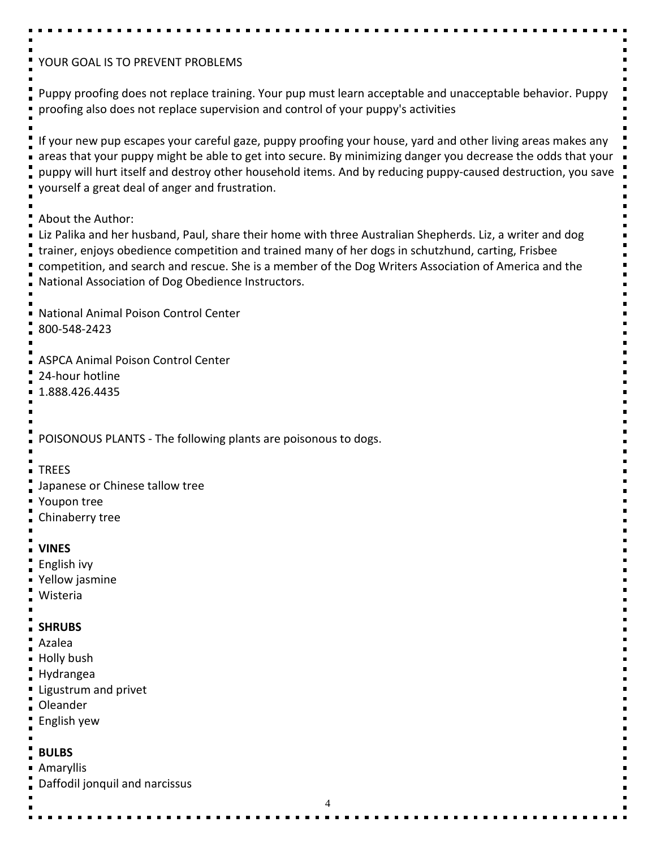| YOUR GOAL IS TO PREVENT PROBLEMS                                                                                                                                                                                                                                                                                                                                                                    |
|-----------------------------------------------------------------------------------------------------------------------------------------------------------------------------------------------------------------------------------------------------------------------------------------------------------------------------------------------------------------------------------------------------|
| Puppy proofing does not replace training. Your pup must learn acceptable and unacceptable behavior. Puppy<br>proofing also does not replace supervision and control of your puppy's activities                                                                                                                                                                                                      |
| If your new pup escapes your careful gaze, puppy proofing your house, yard and other living areas makes any<br>areas that your puppy might be able to get into secure. By minimizing danger you decrease the odds that your<br>puppy will hurt itself and destroy other household items. And by reducing puppy-caused destruction, you save<br>yourself a great deal of anger and frustration.      |
| About the Author:<br>Liz Palika and her husband, Paul, share their home with three Australian Shepherds. Liz, a writer and dog<br>trainer, enjoys obedience competition and trained many of her dogs in schutzhund, carting, Frisbee<br>competition, and search and rescue. She is a member of the Dog Writers Association of America and the<br>National Association of Dog Obedience Instructors. |
| National Animal Poison Control Center<br>800-548-2423                                                                                                                                                                                                                                                                                                                                               |
| <b>ASPCA Animal Poison Control Center</b><br>24-hour hotline<br>1.888.426.4435                                                                                                                                                                                                                                                                                                                      |
| POISONOUS PLANTS - The following plants are poisonous to dogs.                                                                                                                                                                                                                                                                                                                                      |
| <b>TREES</b><br>Japanese or Chinese tallow tree<br>Youpon tree<br>Chinaberry tree                                                                                                                                                                                                                                                                                                                   |
| <b>VINES</b><br>English ivy<br>Yellow jasmine<br>Wisteria                                                                                                                                                                                                                                                                                                                                           |
| <b>SHRUBS</b><br>Azalea<br>Holly bush<br>Hydrangea<br>Ligustrum and privet<br>Oleander<br>English yew                                                                                                                                                                                                                                                                                               |
| <b>BULBS</b><br>Amaryllis<br>Daffodil jonquil and narcissus<br>4                                                                                                                                                                                                                                                                                                                                    |